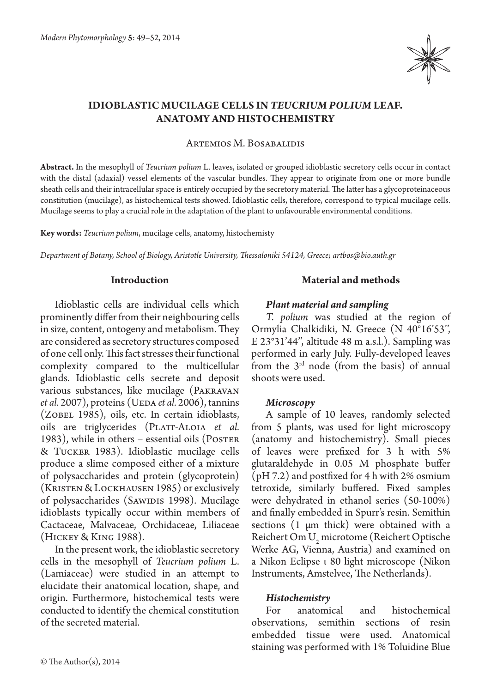

# **IDIOBLASTIC MUCILAGE CELLS IN** *TEUCRIUM POLIUM* **LEAF. ANATOMY AND HISTOCHEMISTRY**

Artemios M. Bosabalidis

**Abstract.** In the mesophyll of *Teucrium polium* L. leaves, isolated or grouped idioblastic secretory cells occur in contact with the distal (adaxial) vessel elements of the vascular bundles. They appear to originate from one or more bundle sheath cells and their intracellular space is entirely occupied by the secretory material. The latter has a glycoproteinaceous constitution (mucilage), as histochemical tests showed. Idioblastic cells, therefore, correspond to typical mucilage cells. Mucilage seems to play a crucial role in the adaptation of the plant to unfavourable environmental conditions.

**Key words:** *Teucrium polium*, mucilage cells, anatomy, histochemisty

*Department of Botany, School of Biology, Aristotle University, Thessaloniki 54124, Greece; artbos@bio.auth.gr*

#### **Introduction**

Idioblastic cells are individual cells which prominently differ from their neighbouring cells in size, content, ontogeny and metabolism. They are considered as secretory structures composed of one cell only. This fact stresses their functional complexity compared to the multicellular glands. Idioblastic cells secrete and deposit various substances, like mucilage (Pakravan *et al.* 2007), proteins (UEDA *et al.* 2006), tannins (ZOBEL 1985), oils, etc. In certain idioblasts, oils are triglycerides (PLATT-ALOIA *et al.* 1983), while in others – essential oils (POSTER & Tucker 1983). Idioblastic mucilage cells produce a slime composed either of a mixture of polysaccharides and protein (glycoprotein) (Kristen & Lockhausen 1985) or exclusively of polysaccharides (SAWIDIS 1998). Mucilage idioblasts typically occur within members of Cactaceae, Malvaceae, Orchidaceae, Liliaceae (Hickey & King 1988).

In the present work, the idioblastic secretory cells in the mesophyll of *Teucrium polium* L. (Lamiaceae) were studied in an attempt to elucidate their anatomical location, shape, and origin. Furthermore, histochemical tests were conducted to identify the chemical constitution of the secreted material.

## **Material and methods**

#### *Plant material and sampling*

*T. polium* was studied at the region of Ormylia Chalkidiki, N. Greece (N 40°16'53'', E 23°31'44'', altitude 48 m a.s.l.). Sampling was performed in early July. Fully-developed leaves from the  $3<sup>rd</sup>$  node (from the basis) of annual shoots were used.

#### *Microscopy*

A sample of 10 leaves, randomly selected from 5 plants, was used for light microscopy (anatomy and histochemistry). Small pieces of leaves were prefixed for 3 h with 5% glutaraldehyde in 0.05 M phosphate buffer (pH 7.2) and postfixed for 4 h with 2% osmium tetroxide, similarly buffered. Fixed samples were dehydrated in ethanol series (50-100%) and finally embedded in Spurr's resin. Semithin sections (1 μm thick) were obtained with a Reichert Om U<sub>2</sub> microtome (Reichert Optische Werke AG, Vienna, Austria) and examined on a Nikon Eclipse ι 80 light microscope (Nikon Instruments, Amstelvee, The Netherlands).

# *Histochemistry*

For anatomical and histochemical observations, semithin sections of resin embedded tissue were used. Anatomical staining was performed with 1% Toluidine Blue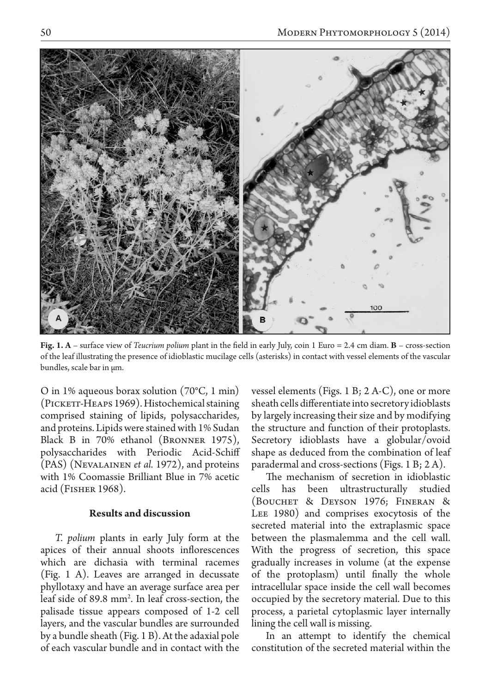

**Fig. 1. A** – surface view of *Teucrium polium* plant in the field in early July, coin 1 Euro = 2.4 cm diam. **B** – cross-section of the leaf illustrating the presence of idioblastic mucilage cells (asterisks) in contact with vessel elements of the vascular bundles, scale bar in μm.

O in 1% aqueous borax solution (70°C, 1 min) (Pickett-Heaps 1969). Histochemical staining comprised staining of lipids, polysaccharides, and proteins. Lipids were stained with 1% Sudan Black B in 70% ethanol (Bronner 1975), polysaccharides with Periodic Acid-Schiff (PAS) (Nevalainen *et al.* 1972), and proteins with 1% Coomassie Brilliant Blue in 7% acetic acid (Fisher 1968).

### **Results and discussion**

*T. polium* plants in early July form at the apices of their annual shoots inflorescences which are dichasia with terminal racemes (Fig. 1 A). Leaves are arranged in decussate phyllotaxy and have an average surface area per leaf side of 89.8 mm2 . In leaf cross-section, the palisade tissue appears composed of 1-2 cell layers, and the vascular bundles are surrounded by a bundle sheath (Fig. 1 B). At the adaxial pole of each vascular bundle and in contact with the

vessel elements (Figs. 1 B; 2 A-C), one or more sheath cells differentiate into secretory idioblasts by largely increasing their size and by modifying the structure and function of their protoplasts. Secretory idioblasts have a globular/ovoid shape as deduced from the combination of leaf paradermal and cross-sections (Figs. 1 B; 2 A).

The mechanism of secretion in idioblastic cells has been ultrastructurally studied (Bouchet & Deyson 1976; Fineran & Lee 1980) and comprises exocytosis of the secreted material into the extraplasmic space between the plasmalemma and the cell wall. With the progress of secretion, this space gradually increases in volume (at the expense of the protoplasm) until finally the whole intracellular space inside the cell wall becomes occupied by the secretory material. Due to this process, a parietal cytoplasmic layer internally lining the cell wall is missing.

In an attempt to identify the chemical constitution of the secreted material within the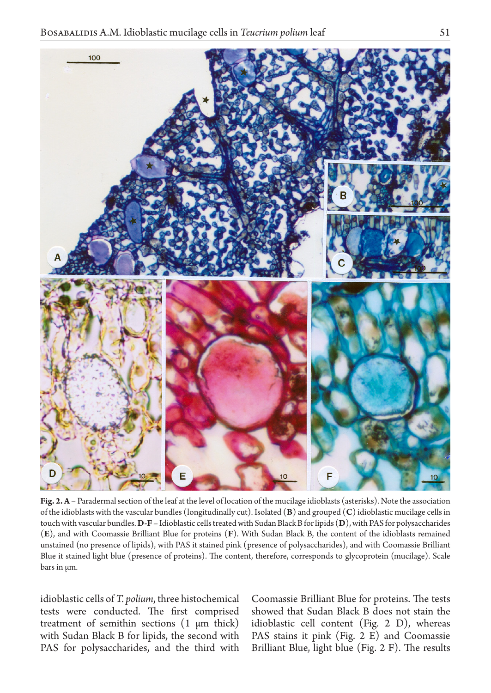

**Fig. 2. A** – Paradermal section of the leaf at the level of location of the mucilage idioblasts (asterisks). Note the association of the idioblasts with the vascular bundles (longitudinally cut). Isolated (**B**) and grouped (**C**) idioblastic mucilage cells in touch with vascular bundles. **D-F** – Idioblastic cells treated with Sudan Black B for lipids (**D**), with PAS for polysaccharides (**E**), and with Coomassie Brilliant Blue for proteins (**F**). With Sudan Black B, the content of the idioblasts remained unstained (no presence of lipids), with PAS it stained pink (presence of polysaccharides), and with Coomassie Brilliant Blue it stained light blue (presence of proteins). The content, therefore, corresponds to glycoprotein (mucilage). Scale bars in μm.

idioblastic cells of *T. polium*, three histochemical tests were conducted. The first comprised treatment of semithin sections (1 μm thick) with Sudan Black B for lipids, the second with PAS for polysaccharides, and the third with

Coomassie Brilliant Blue for proteins. The tests showed that Sudan Black B does not stain the idioblastic cell content (Fig. 2 D), whereas PAS stains it pink (Fig. 2 E) and Coomassie Brilliant Blue, light blue (Fig. 2 F). The results